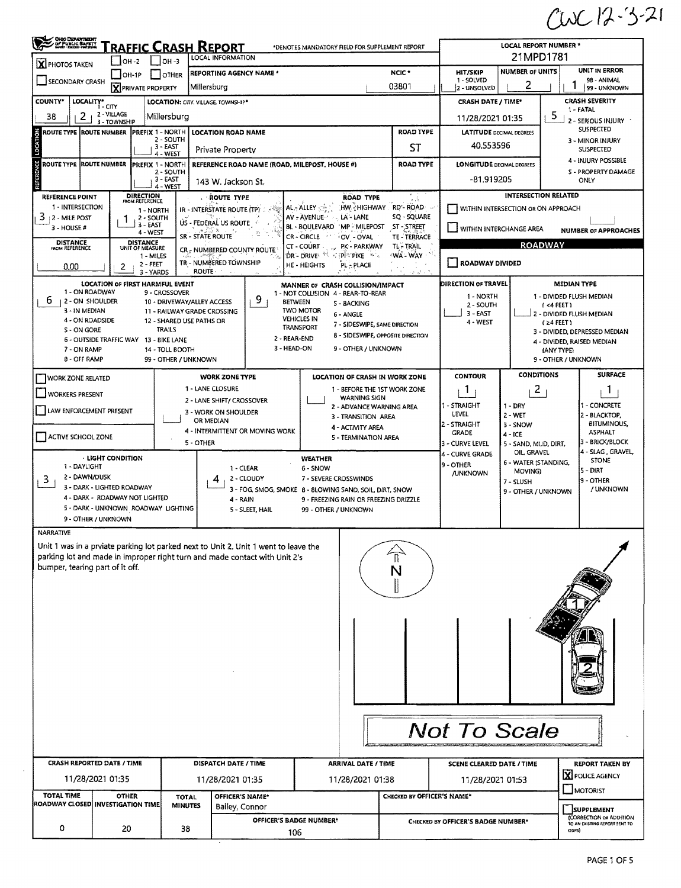$CUC12-3-21$ 

|                                     | <b>CHOO DEPARTMENT</b><br>Of Public Barrit<br><u>RAFFIC CRASH REPORT</u><br>*DENOTES MANDATORY FIELD FOR SUPPLEMENT REPORT<br>LOCAL INFORMATION<br>  ]он -з<br>OH -2 |                                      |                                              |                 |                                                                                  |                                                    |                                    | <b>LOCAL REPORT NUMBER *</b><br>21MPD1781 |                             |                                                                 |  |  |
|-------------------------------------|----------------------------------------------------------------------------------------------------------------------------------------------------------------------|--------------------------------------|----------------------------------------------|-----------------|----------------------------------------------------------------------------------|----------------------------------------------------|------------------------------------|-------------------------------------------|-----------------------------|-----------------------------------------------------------------|--|--|
| <b>X</b> PHOTOS TAKEN               | <b> OH-1P</b>                                                                                                                                                        | <b>I</b> IOTHER                      | REPORTING AGENCY NAME *                      |                 | NCIC <sup>+</sup>                                                                | <b>HIT/SKIP</b>                                    | <b>UNIT IN ERROR</b>               |                                           |                             |                                                                 |  |  |
| SECONDARY CRASH                     | <b>X</b> PRIVATE PROPERTY                                                                                                                                            |                                      | Millersburg                                  |                 |                                                                                  | 03801                                              | 1 - SOLVED<br>2 - UNSOLVED         | 2                                         |                             | 98 - ANIMAL<br>99 - UNKNOWN                                     |  |  |
| <b>COUNTY*</b>                      | LOCALITY* CITY                                                                                                                                                       |                                      | LOCATION: CITY. VILLAGE TOWNSHIP*            |                 |                                                                                  |                                                    | <b>CRASH DATE / TIME*</b>          |                                           |                             | <b>CRASH SEVERITY</b>                                           |  |  |
| 2<br>38                             | 2 - VILLAGE                                                                                                                                                          | Millersburg                          |                                              |                 |                                                                                  |                                                    |                                    |                                           | 5                           | 1 - FATAL                                                       |  |  |
|                                     | 3 - TOWNSHIP                                                                                                                                                         |                                      |                                              |                 |                                                                                  |                                                    | 11/28/2021 01:35                   |                                           |                             | 2 - SERIOUS INJURY ·<br><b>SUSPECTED</b>                        |  |  |
| ROUTE TYPE ROUTE NUMBER             |                                                                                                                                                                      | <b>PREFIX 1 - NORTH</b><br>2 - SOUTH | <b>LOCATION ROAD NAME</b>                    |                 |                                                                                  | <b>ROAD TYPE</b>                                   |                                    | <b>LATITUDE DECIMAL DEGREES</b>           |                             | 3 - MINOR INJURY                                                |  |  |
|                                     |                                                                                                                                                                      | 3 - EAST<br>4 - WEST                 | Private Property                             |                 |                                                                                  | ST                                                 | 40.553596                          |                                           |                             | <b>SUSPECTED</b>                                                |  |  |
| ٣<br><b>ROUTE TYPE ROUTE NUMBER</b> |                                                                                                                                                                      | <b>PREFIX 1 - NORTH</b><br>2 - SOUTH |                                              |                 | REFERENCE ROAD NAME (ROAD, MILEPOST, HOUSE #)                                    | <b>ROAD TYPE</b>                                   | <b>LONGITUDE DECIMAL DEGREES</b>   |                                           |                             | 4 - INJURY POSSIBLE<br><b>S - PROPERTY DAMAGE</b>               |  |  |
|                                     |                                                                                                                                                                      | 3 - EAST<br>4 - WEST                 | 143 W. Jackson St.                           |                 |                                                                                  |                                                    | -81.919205                         |                                           |                             | ONLY                                                            |  |  |
| <b>REFERENCE POINT</b>              | DIRECTION                                                                                                                                                            |                                      | <b>ROUTE TYPE</b>                            |                 | <b>ROAD TYPE</b>                                                                 |                                                    |                                    |                                           | <b>INTERSECTION RELATED</b> |                                                                 |  |  |
| 1 - INTERSECTION                    | FROM REFERENCE                                                                                                                                                       | 1 - NORTH                            | <b>IR - INTERSTATE ROUTE (TP)</b> : <<<      |                 | AL-ALLEY $\mathbb{Z}_p^*$ HW HIGHWAY RD-ROAD                                     |                                                    |                                    | WITHIN INTERSECTION OR ON APPROACH        |                             |                                                                 |  |  |
| $3 + 2 -$ MILE POST<br>3 - HOUSE #  | $3 - EAST$                                                                                                                                                           | 2 - SOUTH                            | US - FEDERAL US ROUTE                        |                 | AV - AVENUE - LA - LANE<br>BL - BOULEVARD MP - MILEPOST                          | SQ - SQUARE<br>ST - STREET                         | WITHIN INTERCHANGE AREA            |                                           |                             |                                                                 |  |  |
|                                     |                                                                                                                                                                      | 4 - WEST                             | <b>SR - STATE ROUTE</b>                      |                 | CR - CIRCLE<br>$\mathcal{A}^{\pm\pm}$<br>OV - OVAL                               | TE TERRACE                                         |                                    |                                           |                             | <b>NUMBER OF APPROACHES</b>                                     |  |  |
| <b>DISTANCE</b><br>FROM REFERENCE   | DISTANCE<br>UNIT OF MEASURE                                                                                                                                          |                                      | CR - NUMBERED COUNTY ROUTE                   |                 | CT - COURT . PK - PARKWAY<br>DR - DRIVE <sup>, ER</sup> PTPIP PIKE POR           | TL - TRAIL<br>WA - WAY                             |                                    |                                           | <b>ROADWAY</b>              |                                                                 |  |  |
| 0.00                                | 2                                                                                                                                                                    | 1 - MILES<br>2 - FEET                | TR - NUMBERED TOWNSHIP                       |                 | HE - HEIGHTS<br>PL-PLACE                                                         |                                                    | ROADWAY DIVIDED                    |                                           |                             |                                                                 |  |  |
|                                     |                                                                                                                                                                      | 3 - YARDS                            | <b>ROUTE</b>                                 |                 |                                                                                  | $\mathcal{E} \cdot \mathcal{E} \times \mathcal{E}$ |                                    |                                           |                             |                                                                 |  |  |
| 1 - ON ROADWAY                      | <b>LOCATION OF FIRST HARMFUL EVENT</b>                                                                                                                               | 9 - CROSSOVER                        |                                              |                 | MANNER OF CRASH COLLISION/IMPACT<br>1 - NOT COLLISION 4 - REAR-TO-REAR           |                                                    | DIRECTION OF TRAVEL                |                                           | <b>MEDIAN TYPE</b>          |                                                                 |  |  |
| 6<br>  2 - ON SHOULDER              |                                                                                                                                                                      |                                      | 10 - DRIVEWAY/ALLEY ACCESS                   | 9               | <b>BETWEEN</b><br>S - BACKING                                                    |                                                    | 1 - NORTH<br>2 - SOUTH             |                                           | $1 < 4$ FEET 1              | 1 - DIVIDED FLUSH MEDIAN                                        |  |  |
| 3 - IN MEDIAN<br>4 - ON ROADSIDE    |                                                                                                                                                                      | 12 - SHARED USE PATHS OR             | 11 - RAILWAY GRADE CROSSING                  |                 | <b>TWO MOTOR</b><br>6 - ANGLE<br><b>VEHICLES IN</b>                              |                                                    | $3 - EAST$<br>4 - WEST             |                                           | $(24$ FEET)                 | 2 - DIVIDED FLUSH MEDIAN                                        |  |  |
| <b>S-ON GORE</b>                    |                                                                                                                                                                      | <b>TRAILS</b>                        |                                              |                 | 7 - SIDESWIPE, SAME DIRECTION<br>TRANSPORT<br>8 - SIDESWIPE, OPPOSITE DIRECTION  |                                                    |                                    |                                           |                             | 3 - DIVIDED, DEPRESSED MEDIAN                                   |  |  |
| 7 - ON RAMP                         | 6 - OUTSIDE TRAFFIC WAY 13 - BIKE LANE                                                                                                                               | 14 - TOLL BOOTH                      |                                              |                 | 2 - REAR-END<br>3 - HEAD-ON<br>9 - OTHER / UNKNOWN                               |                                                    |                                    |                                           | (ANY TYPE)                  | 4 - DIVIDED, RAISED MEDIAN                                      |  |  |
| 8 - OFF RAMP                        |                                                                                                                                                                      | 99 - OTHER / UNKNOWN                 |                                              |                 |                                                                                  |                                                    |                                    |                                           | 9 - OTHER / UNKNOWN         |                                                                 |  |  |
| WORK ZONE RELATED                   |                                                                                                                                                                      |                                      | <b>WORK ZONE TYPE</b>                        |                 | LOCATION OF CRASH IN WORK ZONE                                                   |                                                    | <b>CONTOUR</b>                     | <b>CONDITIONS</b>                         |                             | <b>SURFACE</b>                                                  |  |  |
|                                     |                                                                                                                                                                      |                                      | 1 - LANE CLOSURE                             |                 | 1 - BEFORE THE 1ST WORK ZONE                                                     |                                                    | $\mathbf{1}$                       | $\overline{2}$                            |                             | 1                                                               |  |  |
| WORKERS PRESENT                     |                                                                                                                                                                      |                                      | 2 - LANE SHIFT/ CROSSOVER                    |                 | <b>WARNING SIGN</b><br>2 - ADVANCE WARNING AREA                                  |                                                    | 1 - STRAIGHT                       | $1 - DRY$                                 |                             | 1 - CONCRETE                                                    |  |  |
| LAW ENFORCEMENT PRESENT             |                                                                                                                                                                      |                                      | 3 - WORK ON SHOULDER                         |                 | 3 - TRANSITION AREA                                                              |                                                    | LEVEL                              | 2 - WET                                   |                             | 2 - BLACKTOP,                                                   |  |  |
|                                     |                                                                                                                                                                      |                                      | OR MEDIAN<br>4 - INTERMITTENT OR MOVING WORK |                 | 4 - ACTIVITY AREA                                                                |                                                    | 2 - STRAIGHT<br><b>GRADE</b>       | 3 - SNOW                                  |                             | <b>BITUMINOUS,</b><br><b>ASPHALT</b>                            |  |  |
| ACTIVE SCHOOL ZONE                  |                                                                                                                                                                      |                                      | 5 - OTHER                                    |                 | 5 - TERMINATION AREA                                                             |                                                    | 3 - CURVE LEVEL                    | $4 - ICE$<br>5 - SAND, MUD, DIRT,         |                             | 3 - BRICK/BLOCK                                                 |  |  |
|                                     | · LIGHT CONDITION                                                                                                                                                    |                                      |                                              |                 | <b>WEATHER</b>                                                                   |                                                    | 4 - CURVE GRADE                    | OIL, GRAVEL<br>6 - WATER (STANDING,       |                             | 4 - SLAG, GRAVEL,<br>STONE                                      |  |  |
| 1 - DAYLIGHT<br>2 - DAWN/DUSK       |                                                                                                                                                                      |                                      |                                              | 1 - CLEAR       | 6 - SNOW                                                                         |                                                    | 9 - OTHER<br>/UNKNOWN              | MOVING)                                   |                             | 5 - DIRT                                                        |  |  |
| 3                                   | 3 - DARK - LIGHTED ROADWAY                                                                                                                                           |                                      | 4                                            | 2 - CLOUDY      | 7 - SEVERE CROSSWINDS<br>3 - FOG, SMOG, SMOKE 8 - 8LOWING SAND, SOIL, DIRT, SNOW |                                                    |                                    | 7 - SLUSH                                 |                             | 9 - OTHER<br>/ UNKNOWN                                          |  |  |
|                                     | 4 - DARK - ROADWAY NOT LIGHTED                                                                                                                                       |                                      | 4 - RAIN                                     |                 | 9 - FREEZING RAIN OR FREEZING DRIZZLE                                            |                                                    |                                    | 9 - OTHER / UNKNOWN                       |                             |                                                                 |  |  |
|                                     | 5 - DARK - UNKNOWN ROADWAY LIGHTING                                                                                                                                  |                                      |                                              | 5 - SLEET, HAIL | 99 - OTHER / UNKNOWN                                                             |                                                    |                                    |                                           |                             |                                                                 |  |  |
|                                     | 9 - OTHER / UNKNOWN                                                                                                                                                  |                                      |                                              |                 |                                                                                  |                                                    |                                    |                                           |                             |                                                                 |  |  |
| <b>NARRATIVE</b>                    | Unit 1 was in a prviate parking lot parked next to Unit 2. Unit 1 went to leave the                                                                                  |                                      |                                              |                 |                                                                                  |                                                    |                                    |                                           |                             |                                                                 |  |  |
|                                     | parking lot and made in improper right turn and made contact with Unit 2's                                                                                           |                                      |                                              |                 |                                                                                  |                                                    |                                    |                                           |                             |                                                                 |  |  |
| bumper, tearing part of it off.     |                                                                                                                                                                      |                                      |                                              |                 |                                                                                  |                                                    |                                    |                                           |                             |                                                                 |  |  |
|                                     |                                                                                                                                                                      |                                      |                                              |                 |                                                                                  |                                                    |                                    |                                           |                             |                                                                 |  |  |
|                                     |                                                                                                                                                                      |                                      |                                              |                 |                                                                                  |                                                    |                                    |                                           |                             |                                                                 |  |  |
|                                     |                                                                                                                                                                      |                                      |                                              |                 |                                                                                  |                                                    |                                    |                                           |                             |                                                                 |  |  |
|                                     |                                                                                                                                                                      |                                      |                                              |                 |                                                                                  |                                                    |                                    |                                           |                             |                                                                 |  |  |
|                                     |                                                                                                                                                                      |                                      |                                              |                 |                                                                                  |                                                    |                                    |                                           |                             |                                                                 |  |  |
|                                     |                                                                                                                                                                      |                                      |                                              |                 |                                                                                  |                                                    |                                    |                                           |                             |                                                                 |  |  |
|                                     |                                                                                                                                                                      |                                      |                                              |                 |                                                                                  |                                                    |                                    |                                           |                             |                                                                 |  |  |
|                                     |                                                                                                                                                                      |                                      |                                              |                 |                                                                                  |                                                    |                                    |                                           |                             |                                                                 |  |  |
|                                     |                                                                                                                                                                      |                                      |                                              |                 |                                                                                  |                                                    |                                    |                                           |                             |                                                                 |  |  |
|                                     |                                                                                                                                                                      |                                      |                                              |                 |                                                                                  |                                                    |                                    |                                           |                             |                                                                 |  |  |
|                                     |                                                                                                                                                                      |                                      |                                              |                 |                                                                                  |                                                    | <b>Not To Scale</b>                |                                           |                             |                                                                 |  |  |
|                                     |                                                                                                                                                                      |                                      |                                              |                 |                                                                                  |                                                    |                                    |                                           |                             |                                                                 |  |  |
|                                     |                                                                                                                                                                      |                                      |                                              |                 |                                                                                  |                                                    |                                    |                                           |                             |                                                                 |  |  |
|                                     |                                                                                                                                                                      |                                      |                                              |                 | <b>ARRIVAL DATE / TIME</b>                                                       |                                                    | <b>SCENE CLEARED DATE / TIME</b>   |                                           |                             | <b>REPORT TAKEN BY</b>                                          |  |  |
|                                     | <b>CRASH REPORTED DATE / TIME</b>                                                                                                                                    |                                      | DISPATCH DATE / TIME                         |                 |                                                                                  |                                                    |                                    |                                           |                             |                                                                 |  |  |
|                                     | 11/28/2021 01:35                                                                                                                                                     |                                      | 11/28/2021 01:35                             |                 | 11/28/2021 01:38                                                                 |                                                    | 11/28/2021 01:53                   |                                           |                             | X POLICE AGENCY                                                 |  |  |
| <b>TOTAL TIME</b>                   | <b>OTHER</b>                                                                                                                                                         | <b>TOTAL</b>                         | OFFICER'S NAME*                              |                 |                                                                                  | CHECKED BY OFFICER'S NAME*                         |                                    |                                           |                             | MOTORIST                                                        |  |  |
|                                     | ROADWAY CLOSED INVESTIGATION TIME                                                                                                                                    | <b>MINUTES</b>                       | Bailey, Connor                               |                 |                                                                                  |                                                    |                                    |                                           |                             | SUPPLEMENT                                                      |  |  |
| 0                                   | 20                                                                                                                                                                   | 38                                   |                                              |                 | OFFICER'S BADGE NUMBER*<br>106                                                   |                                                    | CHECKED BY OFFICER'S BADGE NUMBER* |                                           | ODPS                        | <b>[CORRECTION OR ADDITION</b><br>TO AN EXISTING REPORT SENT TO |  |  |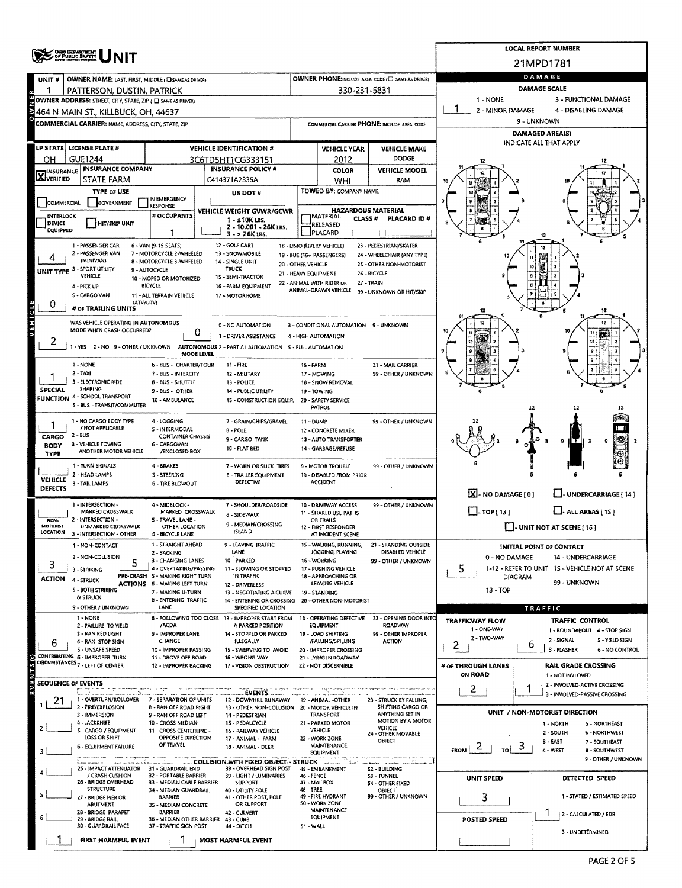|                                  | <b>OHIO DEPARTMENT</b>                                             |                                                               |                                                                                           |                    |                                                   |                                                       |                                                         | <b>LOCAL REPORT NUMBER</b>                                    |  |  |  |  |
|----------------------------------|--------------------------------------------------------------------|---------------------------------------------------------------|-------------------------------------------------------------------------------------------|--------------------|---------------------------------------------------|-------------------------------------------------------|---------------------------------------------------------|---------------------------------------------------------------|--|--|--|--|
|                                  |                                                                    |                                                               |                                                                                           |                    |                                                   |                                                       |                                                         | 21MPD1781                                                     |  |  |  |  |
| UNIT#                            | OWNER NAME: LAST, FIRST, MIDDLE (C) SAME AS DRIVER)                |                                                               |                                                                                           |                    |                                                   | OWNER PHONE:INCLUDE AREA CODE (E) SAME AS DRIVERS     |                                                         | DAMAGE                                                        |  |  |  |  |
| 1                                | PATTERSON, DUSTIN, PATRICK                                         |                                                               |                                                                                           |                    | 330-231-5831                                      |                                                       |                                                         | <b>DAMAGE SCALE</b>                                           |  |  |  |  |
|                                  | OWNER ADDRESS: STREET, CITY, STATE, ZIP ( C SAME AS DRIVER)        |                                                               |                                                                                           |                    |                                                   |                                                       | 1 - NONE                                                | 3 - FUNCTIONAL DAMAGE                                         |  |  |  |  |
|                                  | 464 N MAIN ST., KILLBUCK, OH, 44637                                |                                                               |                                                                                           |                    |                                                   |                                                       | 2 - MINOR DAMAGE<br>4 - DISABLING DAMAGE<br>9 - UNKNOWN |                                                               |  |  |  |  |
|                                  | COMMERCIAL CARRIER: NAME, ADDRESS, CITY, STATE, ZIP                |                                                               |                                                                                           |                    |                                                   | COMMERCIAL CARRIER PHONE: INCLUDE AREA CODE           | <b>DAMAGED AREA(S)</b>                                  |                                                               |  |  |  |  |
|                                  | LP STATE   LICENSE PLATE #                                         |                                                               | <b>VEHICLE IDENTIFICATION #</b>                                                           |                    |                                                   |                                                       | INDICATE ALL THAT APPLY                                 |                                                               |  |  |  |  |
| он                               | <b>GUE1244</b>                                                     |                                                               | 3C6TD5HT1CG333151                                                                         |                    | <b>VEHICLE YEAR</b><br>2012                       | <b>VEHICLE MAKE</b><br><b>DODGE</b>                   |                                                         |                                                               |  |  |  |  |
|                                  | <b>INSURANCE COMPANY</b>                                           |                                                               | <b>INSURANCE POLICY #</b>                                                                 |                    | <b>COLOR</b>                                      | <b>VEHICLE MODEL</b>                                  |                                                         |                                                               |  |  |  |  |
| <b>X</b> INSURANCE               | STATE FARM                                                         |                                                               | C414371A2335A                                                                             |                    | WHI                                               | RAM                                                   |                                                         |                                                               |  |  |  |  |
|                                  | <b>TYPE OF USE</b>                                                 | IN EMERGENCY                                                  | US DOT #                                                                                  |                    | TOWED BY: COMPANY NAME                            |                                                       |                                                         |                                                               |  |  |  |  |
| <b>COMMERCIAL</b>                | <b>GOVERNMENT</b>                                                  | RESPONSE                                                      | VEHICLE WEIGHT GVWR/GCWR                                                                  |                    | <b>HAZARDOUS MATERIAL</b>                         |                                                       | 9                                                       |                                                               |  |  |  |  |
| INTERLOCK<br>DEVICE              | <b>HIT/SKIP UNIT</b>                                               | # OCCUPANTS                                                   | $1 - 510K$ LBS.                                                                           |                    | MATERIAL<br><b>CLASS #</b><br>RELEASED            | PLACARD ID#                                           |                                                         |                                                               |  |  |  |  |
| EQUIPPED                         |                                                                    | 1                                                             | 2 - 10.001 - 26K LBS.<br>$3 - 26K$ LBS.                                                   |                    | PLACARD                                           |                                                       |                                                         |                                                               |  |  |  |  |
|                                  | 1 - PASSENGER CAR                                                  | 6 - VAN (9-15 SEATS)                                          | 12 - GOLF CART                                                                            |                    | 18 - LIMO (LIVERY VEHICLE)                        | 23 - PEDESTRIAN/SKATER                                |                                                         |                                                               |  |  |  |  |
|                                  | 2 - PASSENGER VAN<br>(MINIVAN)                                     | 7 - MOTORCYCLE 2-WHEELED<br>8 - MOTORCYCLE 3-WHEELED          | 13 - SNOWMOBILE<br>14 - SINGLE UNIT                                                       | 20 - OTHER VEHICLE | 19 - BUS (16+ PASSENGERS)                         | 24 - WHEELCHAIR (ANY TYPE)<br>25 - OTHER NON-MOTORIST |                                                         | 继續                                                            |  |  |  |  |
|                                  | UNIT TYPE 3 - SPORT UTILITY<br>VEHICLE                             | 9 - AUTOCYCLE<br>10 - MOPED OR MOTORIZED                      | <b>TRUCK</b><br>15 - SEMI-TRACTOR                                                         |                    | 21 - HEAVY EQUIPMENT                              | 26 - BICYCLE                                          |                                                         | 10<br>g                                                       |  |  |  |  |
|                                  | 4 - PICK UP                                                        | BICYCLE                                                       | 16 - FARM EQUIPMENT                                                                       |                    | 22 - ANIMAL WITH RIDER OR<br>ANIMAL-DRAWN VEHICLE | 27 TRAIN<br>99 - UNKNOWN OR HIT/SKIP                  |                                                         |                                                               |  |  |  |  |
| 0                                | S - CARGO VAN<br>(ATV/UTV)                                         | 11 - ALL TERRAIN VEHICLE                                      | 17 - MOTORHOME                                                                            |                    |                                                   |                                                       |                                                         |                                                               |  |  |  |  |
|                                  | # of TRAILING UNITS                                                |                                                               |                                                                                           |                    |                                                   |                                                       |                                                         | 12                                                            |  |  |  |  |
| VEHICLE                          | WAS VEHICLE OPERATING IN AUTONOMOUS<br>MODE WHEN CRASH OCCURRED?   |                                                               | 0 - NO AUTOMATION                                                                         |                    | 3 - CONDITIONAL AUTOMATION 9 - UNKNOWN            |                                                       |                                                         | 12                                                            |  |  |  |  |
| ۷                                |                                                                    | 0                                                             | 1 - DRIVER ASSISTANCE                                                                     |                    | 4 - HIGH AUTOMATION                               |                                                       | 10                                                      | 10                                                            |  |  |  |  |
|                                  | 1 - YES 2 - NO 9 - OTHER / UNKNOWN                                 | <b>MOOE LEVEL</b>                                             | AUTONOMOUS 2 - PARTIAL AUTOMATION 5 - FULL AUTOMATION                                     |                    |                                                   |                                                       |                                                         |                                                               |  |  |  |  |
|                                  | 1 - NONE                                                           | <b>6 - BUS - CHARTER/TOUR</b>                                 | $11 - FIRE$                                                                               | 16 - FARM          |                                                   | 21 - MAIL CARRIER                                     |                                                         |                                                               |  |  |  |  |
|                                  | 2 TAXI<br>3 - ELECTRONIC RIDE                                      | 7 - BUS - INTERCITY                                           | 12 - MILITARY                                                                             |                    | 17 - MOWING                                       | 99 - OTHER / UNKNOWN                                  |                                                         |                                                               |  |  |  |  |
| <b>SPECIAL</b>                   | SHARING                                                            | <b>8 - BUS - SHUTTLE</b><br>9 - BUS - OTHER                   | 13 - POLICE<br>14 - PUBLIC UTILITY                                                        |                    | 18 - SNOW REMOVAL<br>19 - TOWING                  |                                                       |                                                         |                                                               |  |  |  |  |
|                                  | <b>FUNCTION 4 - SCHOOL TRANSPORT</b><br>S - BUS - TRANSIT/COMMUTER | 10 - AMBULANCE                                                | 15 - CONSTRUCTION EQUIP.                                                                  |                    | 20 - SAFETY SERVICE<br>PATROL                     |                                                       |                                                         | 12                                                            |  |  |  |  |
|                                  | 1 - NO CARGO BODY TYPE                                             | 4 - LOGGING                                                   | 7 - GRAIN/CHIPS/GRAVEL                                                                    | 11 - DUMP          |                                                   | 99 - OTHER / UNKNOWN                                  |                                                         |                                                               |  |  |  |  |
|                                  | / NOT APPLICABLE                                                   | 5 - INTERMODAL                                                | <b>B-POLE</b>                                                                             |                    | 12 - CONCRETE MIXER                               |                                                       |                                                         |                                                               |  |  |  |  |
| CARGO<br><b>BODY</b>             | 2 - BUS<br>3 - VEHICLE TOWING                                      | <b>CONTAINER CHASSIS</b><br>6 - CARGOVAN                      | 9 - CARGO TANK                                                                            |                    | 13 - AUTO TRANSPORTER                             |                                                       |                                                         | 9                                                             |  |  |  |  |
| TYPE                             | ANOTHER MOTOR VEHICLE                                              | /ENCLOSED BOX                                                 | 10 - FLAT BED                                                                             |                    | 14 - GARBAGE/REFUSE                               |                                                       |                                                         |                                                               |  |  |  |  |
|                                  | 1 - TURN SIGNALS                                                   | 4 - BRAKES                                                    | 7 - WORN OR SLICK TIRES                                                                   |                    | 9 - MOTOR TROUBLE                                 | 99 - OTHER / UNKNOWN                                  |                                                         |                                                               |  |  |  |  |
| <b>VEHICLE</b><br><b>DEFECTS</b> | 2 - HEAD LAMPS<br>3 - TAIL LAMPS                                   | S - STEERING<br>6 - TIRE BLOWOUT                              | <b>B - TRAILER EQUIPMENT</b><br>DEFECTIVE                                                 |                    | 10 - DISABLED FROM PRIOR<br><b>ACCIDENT</b>       |                                                       |                                                         |                                                               |  |  |  |  |
|                                  |                                                                    |                                                               |                                                                                           |                    |                                                   |                                                       | $\boxed{\text{X}}$ - NO DAMAGE [ 0 ]                    | J-UNDERCARRIAGE [ 14 ]                                        |  |  |  |  |
|                                  | 1 - INTERSECTION -<br>MARKED CROSSWALK                             | 4 - MIDBLOCK -<br>MARKED CROSSWALK                            | 7 - SHOULDER/ROADSIDE<br>8 - SIDEWALK                                                     |                    | 10 - DRIVEWAY ACCESS<br>11 - SHARED USE PATHS     | 99 - OTHER / UNKNOWN                                  | $\Box$ -TOP [ 13 ]                                      | $L$ . ALL AREAS [15]                                          |  |  |  |  |
| NON-<br><b>MOTORIST</b>          | 2 - INTERSECTION -<br>UNMARKED CROSSWALK                           | 5 - TRAVEL LANE -<br>OTHER LOCATION                           | 9 - MEDIAN/CROSSING                                                                       |                    | OR TRAILS                                         |                                                       |                                                         |                                                               |  |  |  |  |
| LOCATION                         | 3 - INTERSECTION - OTHER                                           | <b>6 - BICYCLE LANE</b>                                       | ISLAND                                                                                    |                    | 12 - FIRST RESPONDER<br>AT INCIDENT SCENE         |                                                       |                                                         | $\Box$ - UNIT NOT AT SCENE [ 16 ]                             |  |  |  |  |
|                                  | 1 - NON-CONTACT                                                    | 1 - STRAIGHT AHEAD<br>2 - BACKING                             | 9 - LEAVING TRAFFIC<br>LANE                                                               |                    | 15 - WALKING, RUNNING,<br>JOGGING, PLAYING        | 21 - STANDING OUTSIDE<br>DISABLED VEHICLE             |                                                         | <b>INITIAL POINT OF CONTACT</b>                               |  |  |  |  |
| 3                                | 2 - NON-COLLISION                                                  | 3 - CHANGING LANES                                            | 10 - PARKED                                                                               |                    | 16 - WORKING                                      | 99 - OTHER / UNKNOWN                                  | 0 - NO DAMAGE                                           | 14 - UNDERCARRIAGE                                            |  |  |  |  |
| <b>ACTION</b>                    | 3 - STRIKING                                                       | 4 - OVERTAKING/PASSING<br>PRE-CRASH 5 - MAKING RIGHT TURN     | 11 - SLOWING OR STOPPED<br>IN TRAFFIC                                                     |                    | 17 - PUSHING VEHICLE<br>18 - APPROACHING OR       |                                                       | 5.<br><b>DIAGRAM</b>                                    | 1-12 - REFER TO UNIT 1S - VEHICLE NOT AT SCENE                |  |  |  |  |
|                                  | 4 - STRUCK<br><b>S-BOTH STRIKING</b>                               | <b>ACTIONS 6 - MAKING LEFT TURN</b><br>7 - MAKING U-TURN      | 12 - DRIVERLESS<br>13 - NEGOTIATING A CURVE                                               |                    | LEAVING VEHICLE<br>19 - STANDING                  |                                                       | $13 - TOP$                                              | 99 - UNKNOWN                                                  |  |  |  |  |
|                                  | & STRUCK                                                           | <b>B-ENTERING TRAFFIC</b>                                     | 14 - ENTERING OR CROSSING 20 - OTHER NON-MOTORIST                                         |                    |                                                   |                                                       |                                                         |                                                               |  |  |  |  |
|                                  | 9 - OTHER / UNKNOWN<br>1 - NONE                                    | LANE                                                          | SPECIFIED LOCATION<br>8 - FOLLOWING TOO CLOSE 13 - IMPROPER START FROM                    |                    | 18 - OPERATING DEFECTIVE                          | 23 - OPENING DOOR INTO                                |                                                         | <b>TRAFFIC</b>                                                |  |  |  |  |
|                                  | 2 - FAILURE TO YIELD                                               | /ACDA                                                         | A PARKED POSITION                                                                         |                    | <b>EQUIPMENT</b>                                  | <b>ROADWAY</b>                                        | <b>TRAFFICWAY FLOW</b><br>1 - ONE-WAY                   | TRAFFIC CONTROL<br>1 - ROUNDABOUT 4 - STOP SIGN               |  |  |  |  |
| 6                                | 3 - RAN RED LIGHT<br>4 - RAN STOP SIGN                             | 9 - IMPROPER LANE<br>CHANGE                                   | 14 - STOPPED OR PARKED<br>ILLEGALLY                                                       |                    | 19 - LOAD SHIFTING<br>/FALLING/SPILLING           | 99 - OTHER IMPROPER<br><b>ACTION</b>                  | 2 - TWO-WAY<br>2                                        | 2 - SIGNAL<br>S - YIELD SIGN<br>ь                             |  |  |  |  |
|                                  | <b>S-UNSAFE SPEED</b><br>CONTRIBUTING 6 - IMPROPER TURN            | 10 - IMPROPER PASSING<br>11 - DROVE OFF ROAD                  | 15 - SWERVING TO AVOID<br>16 - WRONG WAY                                                  |                    | 20 - IMPROPER CROSSING<br>21 - LYING IN ROADWAY   |                                                       |                                                         | 3 - FLASHER<br>6 - NO CONTROL                                 |  |  |  |  |
|                                  | CIRCUMSTANCES 7 - LEFT OF CENTER                                   | 12 - IMPROPER BACKING                                         | 17 - VISION OBSTRUCTION                                                                   |                    | 22 - NOT DISCERNIBLE                              |                                                       | # OF THROUGH LANES                                      | <b>RAIL GRADE CROSSING</b>                                    |  |  |  |  |
|                                  | <b>SEQUENCE OF EVENTS</b>                                          |                                                               |                                                                                           |                    |                                                   |                                                       | <b>ON ROAD</b>                                          | 1 - NOT INVLOVED<br>2 - INVOLVED-ACTIVE CROSSING              |  |  |  |  |
|                                  |                                                                    |                                                               | <b>EVENTS</b>                                                                             |                    |                                                   |                                                       | 2                                                       | ŋ<br>3 - INVOLVED-PASSIVE CROSSING                            |  |  |  |  |
| 21                               | 1 - OVERTURN/ROLLOVER<br>2 - FIRE/EXPLOSION                        | 7 - SEPARATION OF UNITS<br><b>B - RAN OFF ROAD RIGHT</b>      | 12 - DOWNHILL RUNAWAY 19 - ANIMAL -OTHER<br>13 - OTHER NON-COLUSION 20 - MOTOR VEHICLE IN |                    |                                                   | 23 - STRUCK BY FALLING,<br>SHIFTING CARGO OR          |                                                         |                                                               |  |  |  |  |
|                                  | 3 - IMMERSION<br>4 - JACKKNIFE                                     | 9 - RAN OFF ROAD LEFT<br>10 - CROSS MEDIAN                    | 14 - PEDESTRIAN<br>15 - PEDALCYCLE                                                        |                    | TRANSPORT<br>21 - PARKED MOTOR                    | ANYTHING SET IN<br>MOTION BY A MOTOR                  |                                                         | UNIT / NON-MOTORIST DIRECTION<br>1 - NORTH<br>5 - NORTHEAST   |  |  |  |  |
|                                  | S - CARGO / EQUIPMENT<br>LOSS OR SHIFT                             | 11 - CROSS CENTERLINE -<br>OPPOSITE DIRECTION                 | 16 - RAILWAY VEHICLE                                                                      |                    | VEHICLE                                           | VEHICLE<br>24 - OTHER MOVABLE                         |                                                         | 2 - SOUTH<br><b>6 - NORTHWEST</b>                             |  |  |  |  |
|                                  | <b>6 - EQUIPMENT FAILURE</b>                                       | OF TRAVEL                                                     | 17 - ANIMAL - FARM<br>18 - ANIMAL - DEER                                                  |                    | 22 - WORK ZONE<br>MAINTENANCE                     | OBJECT                                                | $\epsilon$<br><b>FROM</b><br>TO I                       | $3 - FAST$<br>7 - SOUTHEAST<br>3<br>4 - WEST<br>8 - SOUTHWEST |  |  |  |  |
|                                  |                                                                    |                                                               | COLLISION WITH FIXED OBJECT - STRUCK                                                      |                    | <b>EQUIPMENT</b>                                  | manan tana ara-gamana asi di tetapatan ia             |                                                         | 9 - OTHER / UNKNOWN                                           |  |  |  |  |
|                                  | 25 - IMPACT ATTENUATOR 31 - GUARDRAIL END<br>/ CRASH CUSHION       | 32 - PORTABLE BARRIER                                         | 38 - OVERHEAD SIGN POST<br>39 - LIGHT / LUMINARIES                                        | 46 - FENCE         | 45 - EMBANKMENT                                   | S2 - BUILDING<br>53 - TUNNEL                          |                                                         |                                                               |  |  |  |  |
|                                  | 26 - BRIDGE OVERHEAD<br><b>STRUCTURE</b>                           | 33 - MEDIAN CABLE BARRIER                                     | <b>SUPPORT</b>                                                                            |                    | 47 - MAILBOX                                      | 54 - OTHER FIXED                                      | <b>UNIT SPEED</b>                                       | <b>DETECTED SPEED</b>                                         |  |  |  |  |
|                                  | 27 - BRIDGE PIER OR                                                | 34 - MEDIAN GUARDRAIL<br><b>BARRIER</b>                       | 40 - UTILITY POLE<br>41 - OTHER POST, POLE                                                | 48 - TREE          | 49 - FIRE HYDRANT                                 | <b>OBJECT</b><br>99 - OTHER / UNKNOWN                 | 3                                                       | 1 - STATED / ESTIMATED SPEED                                  |  |  |  |  |
|                                  | ABUTMENT<br>28 - BRIDGE PARAPET                                    | 35 - MEDIAN CONCRETE<br><b>BARRIER</b>                        | OR SUPPORT<br>42 - CULVERT                                                                |                    | 50 - WORK ZONE<br><b>MAINTENANCE</b>              |                                                       |                                                         | 2 - CALCULATED / EDR                                          |  |  |  |  |
|                                  | 29 - BRIDGE RAIL<br>30 - GUARDRAIL FACE                            | 36 - MEDIAN OTHER BARRIER 43 - CURB<br>37 - TRAFFIC SIGN POST | <b>44 - DITCH</b>                                                                         | 51 - WALL          | EQUIPMENT                                         |                                                       | <b>POSTED SPEED</b>                                     |                                                               |  |  |  |  |
|                                  | FIRST HARMFUL EVENT                                                |                                                               | <b>MOST HARMFUL EVENT</b>                                                                 |                    |                                                   |                                                       |                                                         | 3 - UNDETERMINED                                              |  |  |  |  |
|                                  |                                                                    |                                                               |                                                                                           |                    |                                                   |                                                       |                                                         |                                                               |  |  |  |  |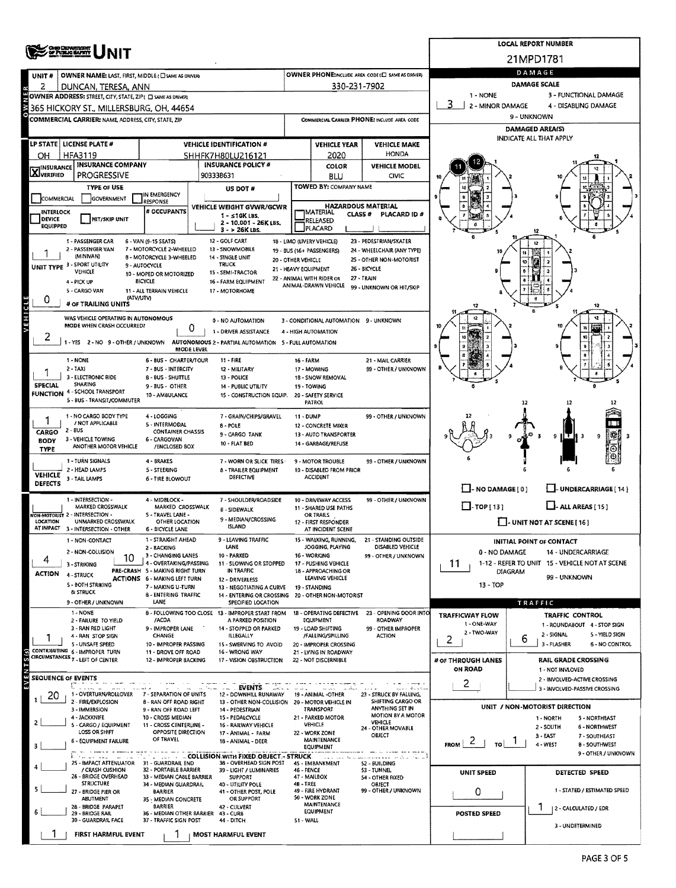|                            | <b>OHIO DEINIGERIT<br/>OF PUBLIC BAFETY</b>                        |                                                           | <b>LOCAL REPORT NUMBER</b>                                                               |                                             |                                                     |                                                            |                                                         |                                                                 |  |  |  |  |
|----------------------------|--------------------------------------------------------------------|-----------------------------------------------------------|------------------------------------------------------------------------------------------|---------------------------------------------|-----------------------------------------------------|------------------------------------------------------------|---------------------------------------------------------|-----------------------------------------------------------------|--|--|--|--|
|                            |                                                                    |                                                           |                                                                                          |                                             |                                                     |                                                            |                                                         | 21MPD1781                                                       |  |  |  |  |
| UNIT #                     | OWNER NAME: LAST, FIRST, MIDDLE (C) SAME AS DRIVERY                |                                                           |                                                                                          |                                             |                                                     | OWNER PHONE:INCLUDE AREA CODE (E) SAME AS DRIVERY          | DAMAGE                                                  |                                                                 |  |  |  |  |
| 2<br>Ŗ                     | DUNCAN, TERESA, ANN                                                |                                                           |                                                                                          |                                             | 330-231-7902                                        |                                                            | DAMAGE SCALE                                            |                                                                 |  |  |  |  |
|                            | OWNER ADDRESS: STREET, CITY, STATE, ZIP ( C) SAME AS DRIVERY       |                                                           |                                                                                          |                                             |                                                     |                                                            | 1 - NONE                                                | 3 - FUNCTIONAL DAMAGE                                           |  |  |  |  |
|                            | 365 HICKORY ST., MILLERSBURG, OH, 44654                            |                                                           |                                                                                          |                                             |                                                     |                                                            | 2 - MINOR DAMAGE<br>4 - DISABLING DAMAGE<br>9 - UNKNOWN |                                                                 |  |  |  |  |
|                            | COMMERCIAL CARRIER: NAME, ADDRESS, CITY, STATE, ZIP                |                                                           |                                                                                          | COMMERCIAL CARRIER PHONE: INCLUDE AREA CODE |                                                     |                                                            | <b>DAMAGED AREA(S)</b>                                  |                                                                 |  |  |  |  |
|                            |                                                                    |                                                           |                                                                                          |                                             |                                                     |                                                            | <b>INDICATE ALL THAT APPLY</b>                          |                                                                 |  |  |  |  |
| OН                         | LP STATE   LICENSE PLATE #<br>HFA3119                              |                                                           | <b>VEHICLE IDENTIFICATION #</b><br>SHHFK7H80LU216121                                     |                                             | <b>VEHICLE YEAR</b><br>2020                         | <b>VEHICLE MAKE</b><br>HONDA                               |                                                         |                                                                 |  |  |  |  |
|                            | <b>INSURANCE COMPANY</b>                                           |                                                           | <b>INSURANCE POLICY #</b>                                                                |                                             | COLOR                                               | <b>VEHICLE MODEL</b>                                       |                                                         |                                                                 |  |  |  |  |
| <b>X</b> INSURANCE         | PROGRESSIVE                                                        |                                                           | 903338631                                                                                |                                             | <b>BLU</b>                                          | CIVIC                                                      |                                                         |                                                                 |  |  |  |  |
|                            | <b>TYPE OF USE</b>                                                 |                                                           | US DOT #                                                                                 |                                             | TOWED BY: COMPANY NAME                              |                                                            |                                                         |                                                                 |  |  |  |  |
| COMMERCIAL                 | <b>GOVERNMENT</b>                                                  | IN EMERGENCY<br><b>RESPONSE</b>                           |                                                                                          |                                             | <b>HAZARDOUS MATERIAL</b>                           |                                                            |                                                         |                                                                 |  |  |  |  |
| INTERLOCK<br><b>DEVICE</b> | <b>HIT/SKIP UNIT</b>                                               | # OCCUPANTS                                               | VEHICLE WEIGHT GVWR/GCWR<br>$1 - 510K$ LBS.                                              |                                             | <b>MATERIAL</b><br><b>CLASS#</b>                    | PLACARD ID #                                               |                                                         |                                                                 |  |  |  |  |
| <b>EQUIPPED</b>            |                                                                    |                                                           | 2 - 10.001 - 26K LBS.<br>$3 - 26K$ LBS.                                                  |                                             | RELEASED<br>PLACARD                                 |                                                            |                                                         |                                                                 |  |  |  |  |
|                            | 1 - PASSENGER CAR                                                  | 6 - VAN (9-15 SEATS)                                      | 12 - GOLF CART                                                                           |                                             | 18 - LIMO (LIVERY VEHICLE)                          | 23 - PEDESTRIAN/SKATER                                     |                                                         |                                                                 |  |  |  |  |
|                            | 2 - PASSENGER VAN<br>(MINIVAN)                                     | 7 - MOTORCYCLE 2-WHEELED<br>8 - MOTORCYCLE 3-WHEELED      | 13 - SNOWMOBILE<br>14 - SINGLE UNIT                                                      |                                             | 19 - BUS (16+ PASSENGERS)                           | 24 - WHEELCHAIR (ANY TYPE)                                 |                                                         |                                                                 |  |  |  |  |
|                            | UNIT TYPE 3 - SPORT UTILITY                                        | 9 - AUTOCYCLE                                             | <b>TRUCK</b>                                                                             | 20 - OTHER VEHICLE<br>21 - HEAVY EQUIPMENT  |                                                     | 25 - OTHER NON-MOTORIST<br>26 - BICYCLE                    |                                                         | Ñ<br>10<br>-2<br>ە                                              |  |  |  |  |
|                            | VEHICLE<br>4 - PICK UP                                             | 10 - MOPED OR MOTORIZED<br><b>BICYCLE</b>                 | 15 - SEMI-TRACTOR<br>16 - FARM EQUIPMENT                                                 |                                             | 22 - ANIMAL WITH RIDER OR                           | 27 - TRAIN                                                 |                                                         |                                                                 |  |  |  |  |
|                            | 5 - CARGO VAN                                                      | 11 - ALL TERRAIN VEHICLE                                  | 17 - MOTORHOME                                                                           |                                             | ANIMAL-DRAWN VEHICLE                                | 99 - UNKNOWN OR HIT/SKIP                                   |                                                         |                                                                 |  |  |  |  |
| 0                          | (ΑΤV/UTV)<br># OF TRAILING UNITS                                   |                                                           |                                                                                          |                                             |                                                     |                                                            | 12                                                      | 12                                                              |  |  |  |  |
| VEHICLE                    | WAS VEHICLE OPERATING IN AUTONOMOUS                                |                                                           | 0 - NO AUTOMATION                                                                        |                                             | 3 - CONDITIONAL AUTOMATION 9 - UNKNOWN              |                                                            |                                                         | 12                                                              |  |  |  |  |
|                            | <b>MODE WHEN CRASH OCCURRED?</b>                                   | 0                                                         | 1 - DRIVER ASSISTANCE                                                                    |                                             | 4 - HIGH AUTOMATION                                 |                                                            |                                                         |                                                                 |  |  |  |  |
| 2                          |                                                                    |                                                           | 1 - YES 2 - NO 9 - OTHER / UNKNOWN AUTONOMOUS 2 - PARTIAL AUTOMATION 5 - FULL AUTOMATION |                                             |                                                     |                                                            |                                                         |                                                                 |  |  |  |  |
|                            |                                                                    | MODE LEVEL                                                |                                                                                          |                                             |                                                     |                                                            |                                                         |                                                                 |  |  |  |  |
|                            | 1 - NONE<br>2 - TAXI                                               | <b>6 BUS CHARTER/TOUR</b><br>7 - BUS - INTERCITY          | 11 - FIRE<br>12 - MILITARY                                                               | 16 - FARM                                   | 17 - MOWING                                         | 21 - MAIL CARRIER<br>99 - OTHER / UNKNOWN                  |                                                         |                                                                 |  |  |  |  |
|                            | 3 - ELECTRONIC RIDE                                                | 8 - BUS - SHUTTLE                                         | 13 - POLICE                                                                              |                                             | 18 - SNOW REMOVAL                                   |                                                            |                                                         |                                                                 |  |  |  |  |
| <b>SPECIAL</b>             | SHARING<br><b>FUNCTION 4 - SCHOOL TRANSPORT</b>                    | 9-BUS - OTHER<br>10 - AM8ULANCE                           | 14 - PUBLIC UTILITY<br>15 - CONSTRUCTION EQUIP.                                          |                                             | 19 - TOWING<br>20 - SAFETY SERVICE                  |                                                            |                                                         |                                                                 |  |  |  |  |
|                            | 5 - BUS - TRANSIT/COMMUTER                                         |                                                           |                                                                                          |                                             | <b>PATROL</b>                                       |                                                            |                                                         |                                                                 |  |  |  |  |
|                            | 1 - NO CARGO BODY TYPE                                             | 4 - LOGGING                                               | 7 - GRAIN/CHIPS/GRAVEL                                                                   | 11 - DUMP                                   |                                                     | 99 - OTHER / UNKNOWN                                       |                                                         |                                                                 |  |  |  |  |
| CARGO                      | / NOT APPLICABLE<br>2 - BUS                                        | 5 - INTERMODAL<br><b>CONTAINER CHASSIS</b>                | $8 - POLE$<br>9 - CARGO TANK                                                             |                                             | 12 - CONCRETE MIXER<br><b>13 - AUTO TRANSPORTER</b> |                                                            |                                                         |                                                                 |  |  |  |  |
| <b>BODY</b>                | 3 - VEHICLE TOWING<br>ANOTHER MOTOR VEHICLE                        | 6 - CARGOVAN<br>/ENCLOSED BOX                             | 10 - FLAT BED                                                                            |                                             | 14 - GARBAGE/REFUSE                                 |                                                            |                                                         | 9<br>9                                                          |  |  |  |  |
| <b>TYPE</b>                |                                                                    |                                                           |                                                                                          |                                             |                                                     |                                                            |                                                         |                                                                 |  |  |  |  |
|                            | 1 - TURN SIGNALS<br>2 - HEAD LAMPS                                 | 4 - BRAKES<br>5 - STEERING                                | 7 - WORN OR SLICK TIRES<br><b>8 - TRAILER EQUIPMENT</b>                                  |                                             | 9 - MOTOR TROUBLE<br>10 - DISABLED FROM PRIOR       | 99 - OTHER / UNKNOWN                                       |                                                         |                                                                 |  |  |  |  |
| <b>VEHICLE</b><br>DEFECTS  | 3 - TAIL LAMPS                                                     | <b>6 - TIRE BLOWOUT</b>                                   | DEFECTIVE                                                                                |                                             | <b>ACCIDENT</b>                                     |                                                            |                                                         |                                                                 |  |  |  |  |
|                            |                                                                    |                                                           |                                                                                          |                                             |                                                     |                                                            | $\Box$ - NO DAMAGE $[0]$                                | U-UNDERCARRIAGE [14]                                            |  |  |  |  |
|                            | 1 - INTERSECTION -<br>MARKED CROSSWALK                             | 4 - MIDBLOCK -<br>MARKED CROSSWALK                        | 7 - SHOULDER/ROADSIDE<br>8 - SIDEWALK                                                    |                                             | 10 - DRIVEWAY ACCESS<br>11 - SHARED USE PATHS       | 99 - OTHER / UNKNOWN                                       | $\Box$ -TOP [13]                                        | $L$ - ALL AREAS [15]                                            |  |  |  |  |
| LOCATION                   | <b>FON-MOTORIST 2 - INTERSECTION -</b><br>UNMARKED CROSSWALK       | 5 - TRAVEL LANE -<br>OTHER LOCATION                       | 9 - MEDIAN/CROSSING                                                                      |                                             | OR TRAILS<br>12 - FIRST RESPONDER                   |                                                            |                                                         | $\Box$ - UNIT NOT AT SCENE [ 16 ]                               |  |  |  |  |
|                            | AT IMPACT 3 - INTERSECTION - OTHER                                 | <b>6 - BICYCLE LANE</b>                                   | <b>ISLAND</b>                                                                            |                                             | AT INCIDENT SCENE                                   |                                                            |                                                         |                                                                 |  |  |  |  |
|                            | 1 - NON-CONTACT                                                    | 1 - STRAIGHT AHEAD<br>2 - BACKING                         | LEAVING TRAFFIC<br>LANE                                                                  |                                             | 15 - WALKING, RUNNING,<br>JOGGING, PLAYING          | - STANDING OUTSIDE<br>DISABLED VEHICLE                     |                                                         | <b>INITIAL POINT OF CONTACT</b>                                 |  |  |  |  |
| 4                          | 2 - NON-COLLISION<br>10                                            | 3 - CHANGING LANES                                        | 10 - PARKED                                                                              |                                             | 16 - WORKING                                        | 99 - OTHER / UNKNOWN                                       | 0 - NO DAMAGE                                           | 14 - UNDERCARRIAGE                                              |  |  |  |  |
| <b>ACTION</b>              | 3 - STRIKING                                                       | 4 - OVERTAKING/PASSING<br>PRE-CRASH 5 - MAKING RIGHT TURN | 11 - SLOWING OR STOPPED<br>IN TRAFFIC                                                    |                                             | 17 - PUSHING VEHICLE<br>18 - APPROACHING OR         |                                                            | 11                                                      | 1-12 - REFER TO UNIT 15 - VEHICLE NOT AT SCENE<br>DIAGRAM       |  |  |  |  |
|                            | 4 - STRUCK<br>5 - BOTH STRIKING                                    | ACTIONS 6 - MAKING LEFT TURN<br>7 - MAKING U-TURN         | 12 - DRIVERLESS                                                                          |                                             | LEAVING VEHICLE                                     |                                                            | 13 - TOP                                                | 99 - UNKNOWN                                                    |  |  |  |  |
|                            | & STRUCK                                                           | <b>8 - ENTERING TRAFFIC</b>                               | 13 - NEGOTIATING A CURVE<br>14 - ENTERING OR CROSSING 20 - OTHER NON-MOTORIST            |                                             | 19 - STANDING                                       |                                                            |                                                         |                                                                 |  |  |  |  |
|                            | 9 - OTHER / UNKNOWN<br>1 - NONE                                    | <b>LANE</b>                                               | SPECIFIED LOCATION<br>8 - FOLLOWING TOO CLOSE 13 - IMPROPER START FROM                   |                                             |                                                     |                                                            |                                                         | TRAFFIC                                                         |  |  |  |  |
|                            | 2 - FAILURE TO YIELD                                               | /ACDA                                                     | A PARKED POSITION                                                                        |                                             | EQUIPMENT                                           | 18 - OPERATING DEFECTIVE 23 - OPENING DOOR INTO<br>ROADWAY | <b>TRAFFICWAY FLOW</b><br>1 - ONE-WAY                   | <b>TRAFFIC CONTROL</b><br>1 - ROUNDABOUT 4 - STOP SIGN          |  |  |  |  |
|                            | 3 - RAN RED LIGHT<br>4 - RAN STOP SIGN                             | 9 - IMPROPER LANE<br>CHANGE                               | 14 - STOPPED OR PARKED<br>ILLEGALLY                                                      |                                             | 19 - LOAD SHIFTING<br>/FALLING/SPILLING             | 99 - OTHER IMPROPER<br><b>ACTION</b>                       | 2 - TWO-WAY                                             | 2 - SIGNAL<br>5 - YIELD SIGN                                    |  |  |  |  |
|                            | S - UNSAFE SPEED                                                   | 10 - IMPROPER PASSING                                     | 15 - SWERVING TO AVOID                                                                   |                                             | 20 - IMPROPER CROSSING                              |                                                            | 2                                                       | 6<br>3 - FLASHER<br>6 - NO CONTROL                              |  |  |  |  |
| $\overline{s}$ (s)         | CONTRIBUTING 6 - IMPROPER TURN<br>CIRCUMSTANCES 7 - LEFT OF CENTER | 11 - DROVE OFF ROAD<br>12 - IMPROPER BACKING              | 16 - WRONG WAY<br>17 - VISION OBSTRUCTION                                                |                                             | 21 - LYING IN ROADWAY<br>22 - NOT DISCERNIBLE       |                                                            | # OF THROUGH LANES                                      | RAIL GRADE CROSSING                                             |  |  |  |  |
|                            |                                                                    |                                                           |                                                                                          |                                             |                                                     |                                                            | ON ROAD                                                 | 1 - NOT INVLOVED                                                |  |  |  |  |
| SEQUENCE OF EVENTS         |                                                                    |                                                           | <b>EVENTS</b>                                                                            |                                             |                                                     | aas kan                                                    | 2                                                       | 2 - INVOLVED-ACTIVE CROSSING<br>3 - INVOLVED-PASSIVE CROSSING   |  |  |  |  |
| 20                         | 1 - OVERTURN/ROLLOVER<br>2 - FIRE/EXPLOSION                        | 7 - SEPARATION OF UNITS<br>8 - RAN OFF ROAD RIGHT         | 12 - DOWNHILL RUNAWAY<br>13 - OTHER NON-COLLISION 20 - MOTOR VEHICLE IN                  |                                             | 19 - ANIMAL -OTHER                                  | 23 - STRUCK BY FALLING,<br>SHIFTING CARGO OR               |                                                         |                                                                 |  |  |  |  |
|                            | 3 - IMMERSION                                                      | 9 - RAN OFF ROAD LEFT                                     | 14 - PEDESTRIAN                                                                          |                                             | TRANSPORT                                           | ANYTHING SET IN                                            |                                                         | UNIT / NON-MOTORIST DIRECTION                                   |  |  |  |  |
|                            | 4 - JACKKNIFE<br>5 - CARGO / EQUIPMENT                             | 10 - CROSS MEDIAN<br>11 - CROSS CENTERLINE -              | 15 - PEDALCYCLE<br>16 - RAILWAY VEHICLE                                                  |                                             | 21 - PARKED MOTOR<br>VEHICLE                        | <b>MOTION BY A MOTOR</b><br>VEHICLE                        |                                                         | 1 - NORTH<br>5 - NORTHEAST<br>2 - SOUTH<br><b>6 - NORTHWEST</b> |  |  |  |  |
|                            | LOSS OR SHIFT                                                      | OPPOSITE DIRECTION<br>OF TRAVEL                           | 17 - ANIMAL - FARM                                                                       |                                             | 22 - WORK ZONE                                      | 24 - OTHER MOVABLE<br>OBJECT                               |                                                         | 3 EAST<br>7 - SOUTHEAST                                         |  |  |  |  |
|                            | 6 - EQUIPMENT FAILURE                                              |                                                           | 18 - ANIMAL - DEER                                                                       |                                             | MAINTENANCE<br>EQUIPMENT                            |                                                            | $F_{ROM}$   2  <br>TO I                                 | 4 - WEST<br><b>B-SOUTHWEST</b>                                  |  |  |  |  |
|                            | 25 - IMPACT ATTENUATOR                                             | 31 - GUARDRAIL END                                        | <b>COLLISION WITH FIXED OBJECT - STRUCK</b><br>38 - OVERHEAD SIGN POST                   |                                             | 45 - EMBANKMENT                                     | 52 - BUILDING                                              |                                                         | 9 - OTHER / UNKNOWN                                             |  |  |  |  |
|                            | / CRASH CUSHION<br>26 - BRIDGE OVERHEAD                            | 32 - PORTABLE BARRIER<br>33 - MEDIAN CA8LE BARRIER        | 39 - LIGHT / LUMINARIES                                                                  | 46 - FENCE                                  |                                                     | 53 - TUNNEL                                                | <b>UNIT SPEED</b>                                       | DETECTED SPEED                                                  |  |  |  |  |
|                            | <b>STRUCTURE</b>                                                   | 34 - MEDIAN GUARDRAIL                                     | <b>SUPPORT</b><br>40 - UTILITY POLE                                                      | 48 - TREE                                   | 47 - MAILBOX                                        | 54 - OTHER FIXED<br>OBJECT                                 |                                                         |                                                                 |  |  |  |  |
|                            | 27 - BRIDGE PIER OR<br><b>ABUTMENT</b>                             | <b>BARRIER</b><br>35 - MEDIAN CONCRETE                    | 41 - OTHER POST, POLE<br>OR SUPPORT                                                      |                                             | 49 - FIRE HYDRANT<br>50 - WORK ZONE                 | 99 - OTHER / UNKNOWN                                       | 0                                                       | 1 - STATED / ESTIMATED SPEED                                    |  |  |  |  |
|                            | 28 - BRIDGE PARAPET<br>29 - BRIDGE RAIL                            | <b>BARRIER</b><br>36 - MEDIAN OTHER BARRIER 43 - CURB     | 42 - CULVERT                                                                             |                                             | <b>MAINTENANCE</b><br>EQUIPMENT                     |                                                            | <b>POSTED SPEED</b>                                     | 2 - CALCULATED / EDR                                            |  |  |  |  |
|                            | 30 - GUARDRAIL FACE                                                | 37 - TRAFFIC SIGN POST                                    | 44 - DITCH                                                                               | 51 - WALL                                   |                                                     |                                                            |                                                         | 3 - UNDETERMINED                                                |  |  |  |  |
|                            | <b>FIRST HARMFUL EVENT</b>                                         |                                                           | MOST HARMFUL EVENT                                                                       |                                             |                                                     |                                                            |                                                         |                                                                 |  |  |  |  |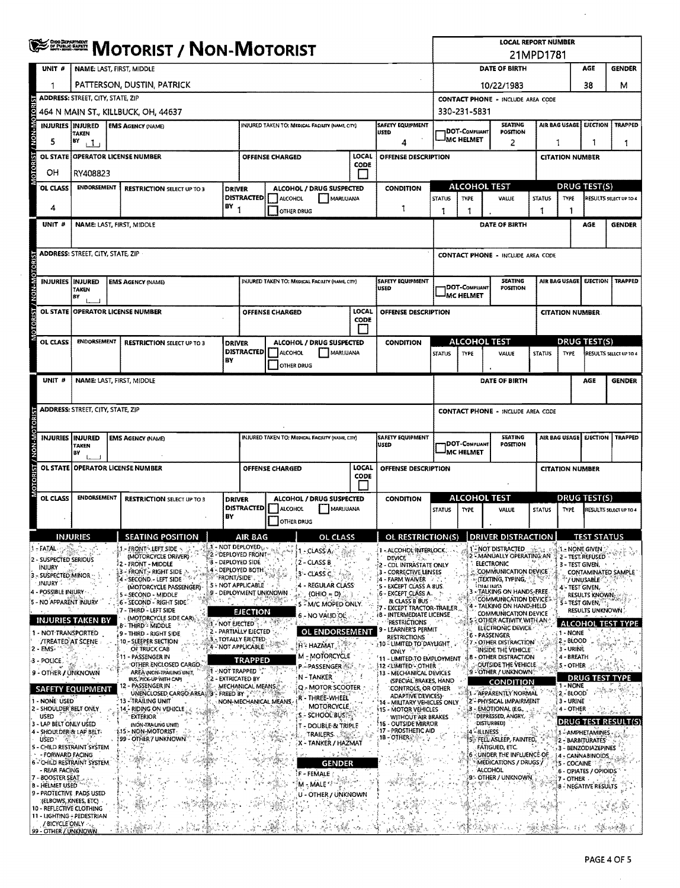|               |                                               | <b>SERGE MOTORIST / NON-MOTORIST</b>                                                   |                                                                                 |                                      |                                               |                                     |                                                     |               |                                                                                 | <b>LOCAL REPORT NUMBER</b><br>21MPD1781                                                  |                                                                                      |                                                                            |                       |                                  |                                         |                               |  |
|---------------|-----------------------------------------------|----------------------------------------------------------------------------------------|---------------------------------------------------------------------------------|--------------------------------------|-----------------------------------------------|-------------------------------------|-----------------------------------------------------|---------------|---------------------------------------------------------------------------------|------------------------------------------------------------------------------------------|--------------------------------------------------------------------------------------|----------------------------------------------------------------------------|-----------------------|----------------------------------|-----------------------------------------|-------------------------------|--|
|               | UNIT #                                        | NAME: LAST, FIRST, MIDDLE                                                              |                                                                                 |                                      |                                               |                                     |                                                     |               |                                                                                 |                                                                                          |                                                                                      | DATE OF BIRTH                                                              |                       |                                  | AGE                                     | <b>GENDER</b>                 |  |
|               | 1                                             |                                                                                        | PATTERSON, DUSTIN, PATRICK                                                      |                                      |                                               |                                     |                                                     |               |                                                                                 | 38<br>10/22/1983                                                                         |                                                                                      |                                                                            |                       |                                  | м                                       |                               |  |
|               |                                               | <b>ADDRESS: STREET, CITY, STATE, ZIP</b>                                               |                                                                                 |                                      |                                               |                                     |                                                     |               |                                                                                 |                                                                                          | <b>CONTACT PHONE - INCLUDE AREA CODE</b>                                             |                                                                            |                       |                                  |                                         |                               |  |
|               |                                               | 464 N MAIN ST., KILLBUCK, OH, 44637<br>INJURED TAKEN TO: MEDICAL FACILITY (NAME, CITY) |                                                                                 |                                      |                                               |                                     |                                                     |               |                                                                                 |                                                                                          | 330-231-5831<br>AIR BAG USAGE<br><b>EJECTION</b><br><b>TRAPPED</b><br><b>SEATING</b> |                                                                            |                       |                                  |                                         |                               |  |
|               |                                               | <b>INJURIES INJURED</b><br>TAKEN                                                       | <b>EMS AGENCY (NAME)</b>                                                        |                                      |                                               |                                     |                                                     |               | <b>SAFETY EQUIPMENT</b><br>USED                                                 |                                                                                          | DOT-COMPLIANT<br>MC HELMET                                                           | <b>POSITION</b>                                                            |                       |                                  |                                         |                               |  |
|               | 5<br><b>OL STATE</b>                          | B٧<br>111<br>Δ<br>LOCAL<br><b>OPERATOR LICENSE NUMBER</b>                              |                                                                                 |                                      |                                               |                                     |                                                     |               | OFFENSE DESCRIPTION                                                             |                                                                                          |                                                                                      | 2                                                                          | 1                     |                                  | 1                                       | 1                             |  |
|               | OН                                            |                                                                                        |                                                                                 |                                      |                                               | <b>OFFENSE CHARGED</b>              |                                                     | CODE          |                                                                                 |                                                                                          |                                                                                      |                                                                            |                       | <b>CITATION NUMBER</b>           |                                         |                               |  |
|               | <b>OL CLASS</b>                               | RY408823<br><b>ENDORSEMENT</b><br><b>RESTRICTION SELECT UP TO 3</b><br><b>DRIVER</b>   |                                                                                 |                                      |                                               |                                     | ALCOHOL / DRUG SUSPECTED                            |               | <b>CONDITION</b>                                                                |                                                                                          | <b>ALCOHOL TEST</b>                                                                  |                                                                            |                       | <b>DRUG TEST(S)</b>              |                                         |                               |  |
|               |                                               |                                                                                        |                                                                                 |                                      | <b>DISTRACTED</b>                             | <b>ALCOHOL</b>                      | MARUUANA                                            |               |                                                                                 | <b>STATUS</b>                                                                            | TYPE                                                                                 | VALUE                                                                      | <b>STATUS</b><br>TYPE |                                  |                                         | RESULTS SELECT UP TO 4        |  |
|               | 4                                             |                                                                                        |                                                                                 | BY <sub>1</sub>                      |                                               | <b>OTHER DRUG</b>                   |                                                     |               | 1                                                                               | 1                                                                                        | 1                                                                                    |                                                                            | 1                     | 1                                |                                         |                               |  |
|               | UNIT #                                        |                                                                                        | NAME: LAST, FIRST, MIDDLE                                                       |                                      |                                               |                                     |                                                     |               |                                                                                 |                                                                                          |                                                                                      | DATE OF BIRTH                                                              |                       |                                  | AGE                                     | <b>GENDER</b>                 |  |
|               |                                               | <b>ADDRESS: STREET, CITY, STATE, ZIP</b>                                               |                                                                                 |                                      |                                               |                                     |                                                     |               |                                                                                 |                                                                                          |                                                                                      |                                                                            |                       |                                  |                                         |                               |  |
|               |                                               |                                                                                        |                                                                                 |                                      |                                               |                                     |                                                     |               |                                                                                 |                                                                                          |                                                                                      | <b>CONTACT PHONE - INCLUDE AREA CODE</b>                                   |                       |                                  |                                         |                               |  |
|               |                                               | INJURIES   INJURED                                                                     | <b>EMS AGENCY (NAME)</b>                                                        |                                      |                                               |                                     | INJURED TAKEN TO: MEDICAL FACILITY (NAME, CITY)     |               | <b>SAFETY EQUIPMENT</b><br><b>USED</b>                                          |                                                                                          | DOT-Compliant                                                                        | <b>SEATING</b><br>POSITION                                                 |                       | AIR BAG USAGE                    | <b>EJECTION</b>                         | <b>TRAPPED</b>                |  |
| <b>NOMEN</b>  |                                               | TAKEN<br> BY                                                                           |                                                                                 |                                      |                                               |                                     |                                                     |               |                                                                                 |                                                                                          | <b>MC HELMET</b>                                                                     |                                                                            |                       |                                  |                                         |                               |  |
|               |                                               |                                                                                        | OL STATE OPERATOR LICENSE NUMBER                                                |                                      |                                               | <b>OFFENSE CHARGED</b>              |                                                     | LOCAL<br>CODE | OFFENSE DESCRIPTION                                                             |                                                                                          |                                                                                      |                                                                            |                       | <b>CITATION NUMBER</b>           |                                         |                               |  |
|               |                                               |                                                                                        |                                                                                 |                                      |                                               |                                     |                                                     |               |                                                                                 |                                                                                          |                                                                                      |                                                                            |                       |                                  |                                         |                               |  |
|               | OL CLASS                                      | <b>ENDORSEMENT</b>                                                                     | <b>RESTRICTION SELECT UP TO 3</b>                                               | <b>DRIVER</b>                        | <b>DISTRACTED</b>                             | <b>ALCOHOL</b>                      | ALCOHOL / DRUG SUSPECTED<br>MARIJUANA               |               | <b>CONDITION</b>                                                                |                                                                                          | <b>ALCOHOL TEST</b>                                                                  |                                                                            |                       |                                  | <b>DRUG TEST(S)</b>                     |                               |  |
|               |                                               |                                                                                        |                                                                                 | BY                                   |                                               | OTHER DRUG                          |                                                     |               |                                                                                 | <b>STATUS</b>                                                                            | <b>TYPE</b>                                                                          | VALUE                                                                      | <b>STATUS</b>         | TYPE                             |                                         | RESULTS SELECT UP TO 4        |  |
|               | UNIT <sub>#</sub>                             |                                                                                        | NAME: LAST, FIRST, MIDDLE                                                       |                                      |                                               |                                     |                                                     |               |                                                                                 |                                                                                          |                                                                                      | DATE OF BIRTH                                                              |                       |                                  | AGE                                     | <b>GENDER</b>                 |  |
|               |                                               |                                                                                        |                                                                                 |                                      |                                               |                                     |                                                     |               |                                                                                 |                                                                                          |                                                                                      |                                                                            |                       |                                  |                                         |                               |  |
|               |                                               | <b>ADDRESS: STREET, CITY, STATE, ZIP</b>                                               |                                                                                 |                                      |                                               |                                     |                                                     |               |                                                                                 |                                                                                          |                                                                                      | <b>CONTACT PHONE - INCLUDE AREA CODE</b>                                   |                       |                                  |                                         |                               |  |
|               |                                               |                                                                                        |                                                                                 |                                      |                                               |                                     |                                                     |               |                                                                                 |                                                                                          |                                                                                      |                                                                            |                       |                                  |                                         |                               |  |
| <b>NON-MC</b> |                                               | <b>INJURIES IINJURED</b><br><b>TAKEN</b><br>B٧                                         | <b>EMS AGENCY (NAME)</b>                                                        |                                      |                                               |                                     | INJURED TAKEN TO: MEDICAL FACILITY (NAME CITY)      |               | <b>SAFETY EQUIPMENT</b><br>USED                                                 | <b>SEATING</b><br><b>AIR BAG USAGE</b><br>DOT-COMPLIANT<br><b>POSITION</b><br>IMC HELMET |                                                                                      |                                                                            |                       | <b>EJECTION</b>                  | <b>TRAPPED</b>                          |                               |  |
|               |                                               |                                                                                        | OL STATE OPERATOR LICENSE NUMBER                                                |                                      |                                               | OFFENSE CHARGED                     |                                                     | LOCAL         | OFFENSE DESCRIPTION                                                             |                                                                                          |                                                                                      |                                                                            |                       | <b>CITATION NUMBER</b>           |                                         |                               |  |
| <b>B</b>      |                                               |                                                                                        |                                                                                 |                                      |                                               |                                     |                                                     | CODE          |                                                                                 |                                                                                          |                                                                                      |                                                                            |                       |                                  |                                         |                               |  |
|               | OL CLASS                                      | <b>ENDORSEMENT</b>                                                                     | <b>RESTRICTION SELECT UP TO 3</b>                                               | <b>DRIVER</b>                        |                                               |                                     | ALCOHOL / DRUG SUSPECTED                            |               | <b>CONDITION</b>                                                                |                                                                                          | ALCOHOL TEST                                                                         |                                                                            |                       | <u>DRUG TEST(S)</u>              |                                         |                               |  |
|               |                                               |                                                                                        |                                                                                 | BY                                   | <b>DISTRACTED</b>                             | <b>ALCOHOL</b><br><b>OTHER DRUG</b> | MARIJUANA                                           |               |                                                                                 | <b>STATUS</b>                                                                            | <b>TYPE</b>                                                                          | <b>VALUE</b>                                                               | <b>STATUS</b>         | <b>TYPE</b>                      |                                         | <b>RESULTS SELECT UP TO 4</b> |  |
|               |                                               |                                                                                        | <b>SEATING POSITI</b>                                                           |                                      | AIR BAC                                       |                                     |                                                     |               | OL RESTRICTION(S)                                                               |                                                                                          |                                                                                      | <b>DRIVER DISTR</b>                                                        |                       |                                  |                                         |                               |  |
|               | 1 FATAL                                       |                                                                                        | - FRONT - LEFT SIDE                                                             |                                      | 1 - NOT DEPLOYED (, ,<br>2 - DEPLOYED FRONT · |                                     | 1 - CLASS A                                         |               | - ALCOHOL INTERLOCK                                                             |                                                                                          |                                                                                      | - NOT DISTRACTED                                                           |                       | 1. NONE GIVEN                    |                                         |                               |  |
|               | 2 - SUSPECTED SERIOUS<br>INJURY               |                                                                                        | (MOTORCYCLE DRIVER)<br>2 - FRONT - MIDDLE<br>$-$ front $\sim$ right side $\geq$ | <b>3 - DEPLOYED SIDE</b>             | ,4 - DEPLOYED BOTH                            |                                     | 2 - CLASS B                                         |               | DEAICE,<br>CDL INTRASTATE ONLY                                                  |                                                                                          |                                                                                      | - MANUALLY OPERATING AN<br><b>ELECTRONIC</b><br>COMMUNICATION DEVICE       |                       | 3 - TEST GIVEN,                  | 2 - TEST. REFUSED                       |                               |  |
|               | 3 - SUSPECTED MINOR<br>.injury (              |                                                                                        | -SECOND - LEFT SIDE<br>(MOTORCYCLE PASSENGER)                                   | <b>FRONT/SIDE</b>                    | 5 - NOT APPLICABLE                            |                                     | 3°- CLASS C.<br>- REGULAR CLASS                     |               | 3 - CORRECTIVE LENSES<br>- FARM WAIVER<br>S - EXCEPT CLASS A 8US.               |                                                                                          |                                                                                      | (TEXTING, TYPING,<br><b>IDIALING</b>                                       |                       | 4 - TEST GIVEN,                  | / UNUSABLE                              | CONTAMINATED SAMPLE           |  |
|               | 4 - POSSIBLE INJURY<br>5 - NO APPARENT INJURY |                                                                                        | 5 - SECOND - MIDDLE<br>6 - SECOND - RIGHT SIDE                                  |                                      | 9 - DEPLOYMENT UNKNOWN                        |                                     | $(OHIO = D)$<br><b>5 M/C MOPED ONLY</b>             |               | 6 - EXCEPT CLASS A.<br><b>&amp; CLASS B BUS</b>                                 |                                                                                          |                                                                                      | 3 - TALKING ON HANDS-FREE<br>COMMUNICATION DEVICE.                         |                       | <b>S-TEST GIVEN,</b>             | RESULTS KNOWN,                          |                               |  |
|               |                                               | <b>INJURIES TAKEN BY</b>                                                               | : 7 - THIRD - LEFT SIDE<br>(MOTORCYCLE SIDE CAR),                               |                                      | EJECTION                                      |                                     | 6 - NO VALID OL                                     |               | <b>EXCEPT TRACTOR-TRAILER</b><br>INTERMEDIATE LICENSE                           |                                                                                          |                                                                                      | 4 - TALKING ON HAND-HELD<br>COMMUNICATION DEVICE<br>OTHER ACTIVITY WITH AN |                       |                                  | RESULTS UNKNOWN                         |                               |  |
|               | 1 - NOT TRANSPORTED                           |                                                                                        | 8 - THIRD - MIDDLE<br>9 - THIRD - RIGHT SIDE                                    | $1$ - not ejected $\gamma$           | 2 - PARTIALLY EJECTED                         |                                     | <b>OL ENDORSEMENT</b>                               |               | <b>RESTRICTIONS</b><br>- LEARNER'S PERMIT<br>RESTRICTIONS                       |                                                                                          |                                                                                      | ELECTRONIC DEVICE.<br>6 - PASSENGER                                        |                       | 1 - NONE                         |                                         | <b>ALCOHOL TEST TYPE</b>      |  |
| 2 - EMS,      | <b>/TREATED AT SCENE</b>                      |                                                                                        | 10 - SLEEPER SECTION<br>OF TRUCK CAB                                            |                                      | 3 - TOTALLY EJECTED<br>4 - NOT APPLICABLE.    |                                     | !H≈HAZMAT,                                          |               | <b>0 - LIMITED TO DAYLIGHT</b><br><b>ONLY</b>                                   |                                                                                          |                                                                                      | 7 - OTHER DISTRACTION<br>INSIDE THE VEHICLE.                               |                       | $2 - BLOOD$<br>3 - URINE         |                                         |                               |  |
|               | 3 - POLICE                                    |                                                                                        | 11 - PASSENGER IN<br>OTHER ENCLOSED CARGO:                                      |                                      | <b>TRAPPED</b>                                |                                     | M - MOTORCYCLE<br>P-PASSENGER                       |               | 11 - LIMITED TO EMPLOYMENT<br>\$12 - LIMITED - OTHER                            |                                                                                          |                                                                                      | <b>B - OTHER DISTRACTION</b><br>OUTSIDE THE VEHICLE                        |                       | 4 - BREATH<br>5 - OTHER          |                                         |                               |  |
|               |                                               | 9 - OTHER / UNKNOWN                                                                    | AREA (NON-TRAILING UNIT,<br>BUS, PICK UP WITH CAP)                              | 1 - NOT TRAPPED<br>2 - EXTRICATED BY |                                               |                                     | N-TANKER                                            |               | 13 - MECHANICAL DEVICES<br>(SPECIAL BRAKES, HAND                                |                                                                                          |                                                                                      | '9 - OTHER / UNKNOWN<br>CONDITION                                          |                       |                                  |                                         | <b>DRUG TEST TYPE</b>         |  |
|               | 1 - NONE USED                                 | <b>SAFETY EQUIPMENT</b>                                                                | - PASSENGER IN<br>UNENCLOSED CARGO AREA<br>13 - TRAILING UNIT                   | FREED BY                             | MECHANICAL MEANS.                             |                                     | Q - MOTOR SCOOTER<br>R - THREE-WHEEL                |               | CONTROLS, OR OTHER<br>ADAPTIVE DEVICES)-                                        |                                                                                          |                                                                                      | 1 - APPARENTLY NORMAL<br>2'- PHYSICAL IMPAIRMENT                           |                       | 1 - NONE<br>2-BLOOD<br>3 - URINE |                                         |                               |  |
|               | used                                          | 2 - SHOULDER BELT ONLY                                                                 | 14. RIDING ON VEHICLE<br><b>EXTERIOR</b>                                        |                                      | NON-MECHANICAL MEANS                          |                                     | <b>MOTORCYCLE</b><br>$-$ SCHOOL BUS: $\epsilon_{k}$ |               | 14 - MILITARY VEHICLES ONLY<br><b>15 - MOTOR VEHICLES</b><br>WITHOUT AIR BRAKES |                                                                                          |                                                                                      | 3 - EMOTIONAL (E.G.,<br>DEPRESSED, ANGRY,                                  |                       | 4 - OTHER                        |                                         |                               |  |
|               | 3 - LAP BELT ONLY USED                        | 4 - SHOULDER & LAP BELT-                                                               | (NON-TRAILING UNIT)<br>115 - NON-MOTORIST                                       |                                      |                                               |                                     | - DOUBLE & TRIPLE                                   |               | 16 - OUTSIDE MIRROR<br>17 - PROSTHETIC AID                                      |                                                                                          |                                                                                      | DISTURBED)<br><b>ILLNESS</b>                                               |                       |                                  | 1 - AMPHETAMINES                        | <b>DRUG TEST RESULT(S)</b>    |  |
|               | USED <sup>®</sup>                             | 5 - CHILD RESTRAINT SYSTEM                                                             | <b>199 - OTHER 7 UNKNOWN</b>                                                    |                                      |                                               |                                     | <b>TRAILERS</b><br>X - TANKER / HAZMAT              |               | 1B-OTHER                                                                        |                                                                                          |                                                                                      | 5 - FELL ASLEEP, FAINTED,<br><b>FATIGUED, ETC.</b>                         |                       |                                  | 2 - BARBITURATES<br>3 - BENZODIAZEPHIES |                               |  |
|               | - FORWARD FACING                              | 6 - CHILD RESTRAINT SYSTEM.                                                            |                                                                                 |                                      |                                               |                                     | GENDER                                              |               |                                                                                 |                                                                                          |                                                                                      | 6 - UNDER THE INFLUENCE OF<br>MEDICATIONS / DRUGS:                         |                       | 5 - COCAINE                      | 4 - CANNABINOIDS                        |                               |  |
|               | - REAR FACING<br>7 - BOOSTER SEAT             |                                                                                        |                                                                                 |                                      |                                               |                                     | F - FEMALE                                          |               |                                                                                 |                                                                                          |                                                                                      | ALCOHOL<br>9 - OTHER / UNKNOWN                                             |                       | 7 - OTHER                        | 6 - OPIATES / OPIOIDS                   |                               |  |
|               | <b>B - HELMET USED</b>                        | 9 - PROTECTIVE PADS USED                                                               |                                                                                 |                                      |                                               |                                     | M - MALE<br>U - OTHER / UNKNOWN                     |               |                                                                                 |                                                                                          |                                                                                      |                                                                            |                       |                                  | 8 - NEGATIVE RESULTS                    |                               |  |
|               |                                               | (ELBOWS, KNEES, ETC)<br>10 - REFLECTIVE CLOTHING                                       |                                                                                 |                                      |                                               |                                     |                                                     |               |                                                                                 |                                                                                          |                                                                                      |                                                                            |                       |                                  |                                         |                               |  |
|               | / BICYCLE ONLY<br>99 - OTHER / UNKNOWN        | 11 - LIGHTING - PEDESTRIAN                                                             |                                                                                 |                                      |                                               |                                     |                                                     |               |                                                                                 |                                                                                          |                                                                                      |                                                                            |                       |                                  |                                         |                               |  |

 $\sim$ 

 $\lambda$ 

 $\ddot{\phantom{a}}$